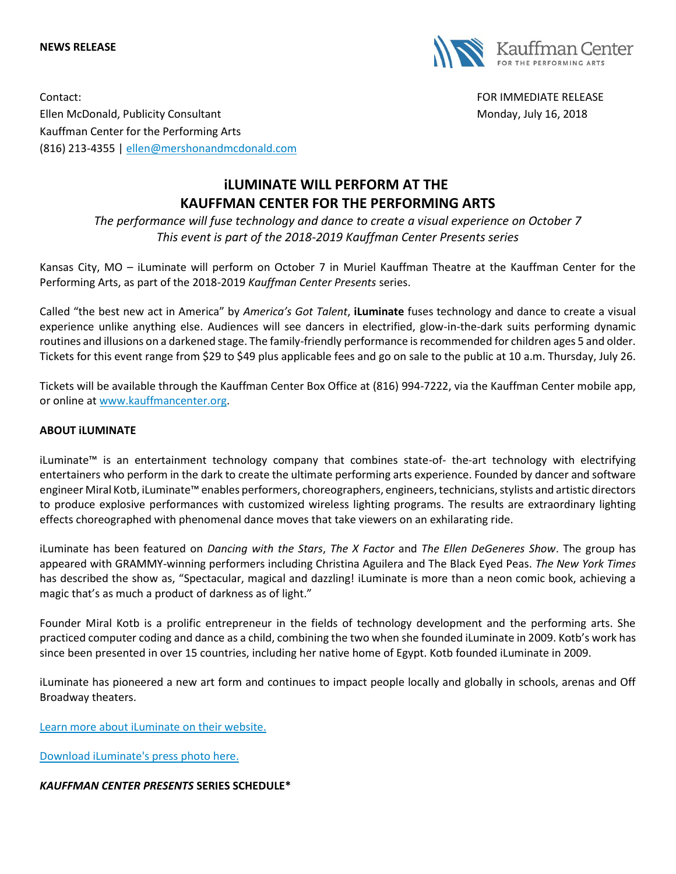#### **NEWS RELEASE**



Contact: FOR IMMEDIATE RELEASE Ellen McDonald, Publicity Consultant Monday, July 16, 2018 Kauffman Center for the Performing Arts (816) 213-4355 | [ellen@mershonandmcdonald.com](mailto:ellen@mershonandmcdonald.com)

# **iLUMINATE WILL PERFORM AT THE KAUFFMAN CENTER FOR THE PERFORMING ARTS**

*The performance will fuse technology and dance to create a visual experience on October 7 This event is part of the 2018-2019 Kauffman Center Presents series*

Kansas City, MO – iLuminate will perform on October 7 in Muriel Kauffman Theatre at the Kauffman Center for the Performing Arts, as part of the 2018-2019 *Kauffman Center Presents* series.

Called "the best new act in America" by *America's Got Talent*, **iLuminate** fuses technology and dance to create a visual experience unlike anything else. Audiences will see dancers in electrified, glow-in-the-dark suits performing dynamic routines and illusions on a darkened stage. The family-friendly performance is recommended for children ages 5 and older. Tickets for this event range from \$29 to \$49 plus applicable fees and go on sale to the public at 10 a.m. Thursday, July 26.

Tickets will be available through the Kauffman Center Box Office at (816) 994-7222, via the Kauffman Center mobile app, or online at [www.kauffmancenter.org.](http://www.kauffmancenter.org/)

## **ABOUT iLUMINATE**

iLuminate™ is an entertainment technology company that combines state-of- the-art technology with electrifying entertainers who perform in the dark to create the ultimate performing arts experience. Founded by dancer and software engineer Miral Kotb, iLuminate™ enables performers, choreographers, engineers, technicians, stylists and artistic directors to produce explosive performances with customized wireless lighting programs. The results are extraordinary lighting effects choreographed with phenomenal dance moves that take viewers on an exhilarating ride.

iLuminate has been featured on *Dancing with the Stars*, *The X Factor* and *The Ellen DeGeneres Show*. The group has appeared with GRAMMY-winning performers including Christina Aguilera and The Black Eyed Peas. *The New York Times* has described the show as, "Spectacular, magical and dazzling! iLuminate is more than a neon comic book, achieving a magic that's as much a product of darkness as of light."

Founder Miral Kotb is a prolific entrepreneur in the fields of technology development and the performing arts. She practiced computer coding and dance as a child, combining the two when she founded iLuminate in 2009. Kotb's work has since been presented in over 15 countries, including her native home of Egypt. Kotb founded iLuminate in 2009.

iLuminate has pioneered a new art form and continues to impact people locally and globally in schools, arenas and Off Broadway theaters.

[Learn more about iLuminate on their website.](http://www.iluminate.com/)

[Download iLuminate's press photo here.](https://www.flickr.com/photos/kauffmancenter/42330833914/in/album-72157666886914008/)

## *KAUFFMAN CENTER PRESENTS* **SERIES SCHEDULE\***